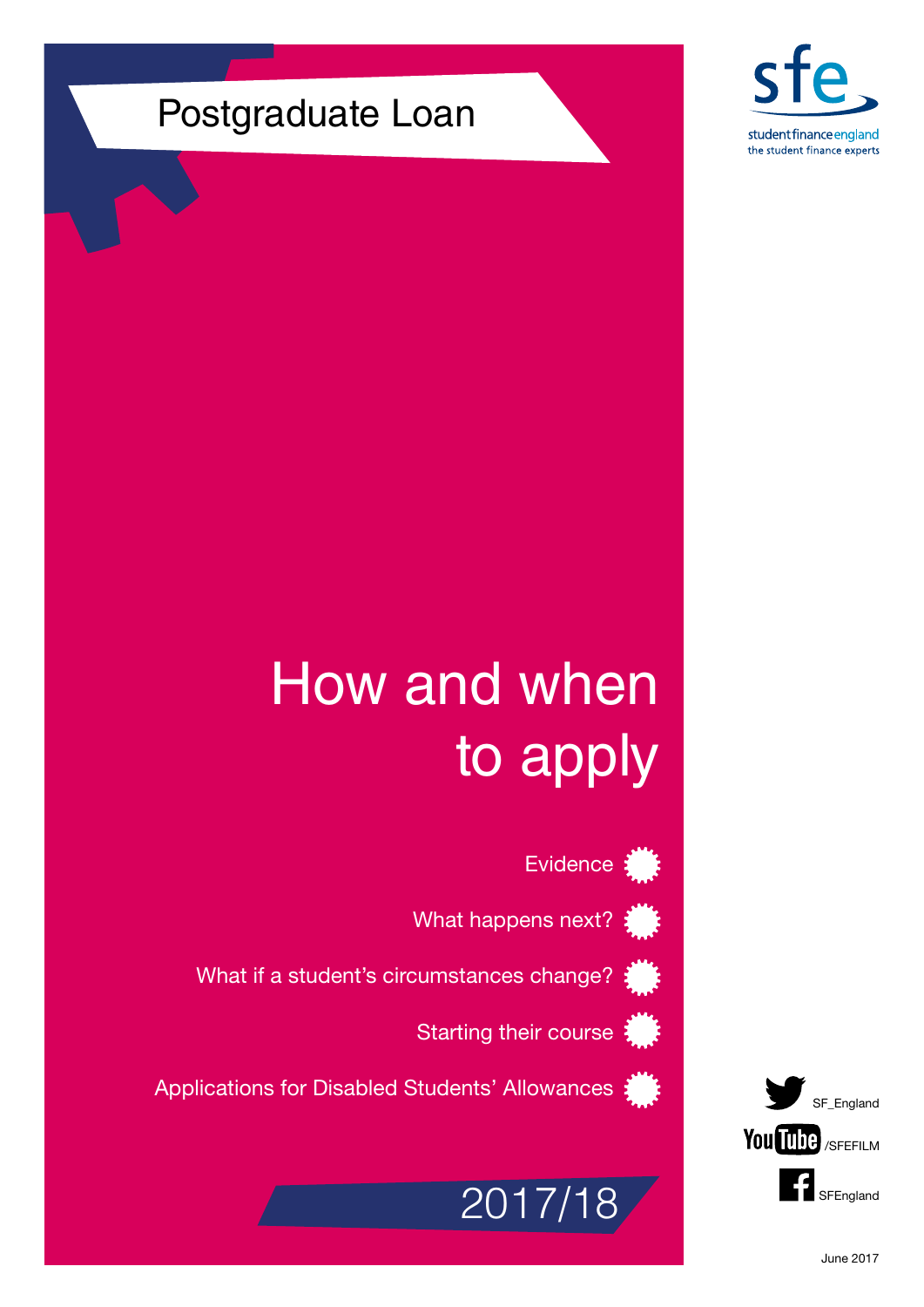## Postgraduate Loan



# How and when to apply

Evidence:

What happens next?

What if a student's circumstances change?

Starting their course





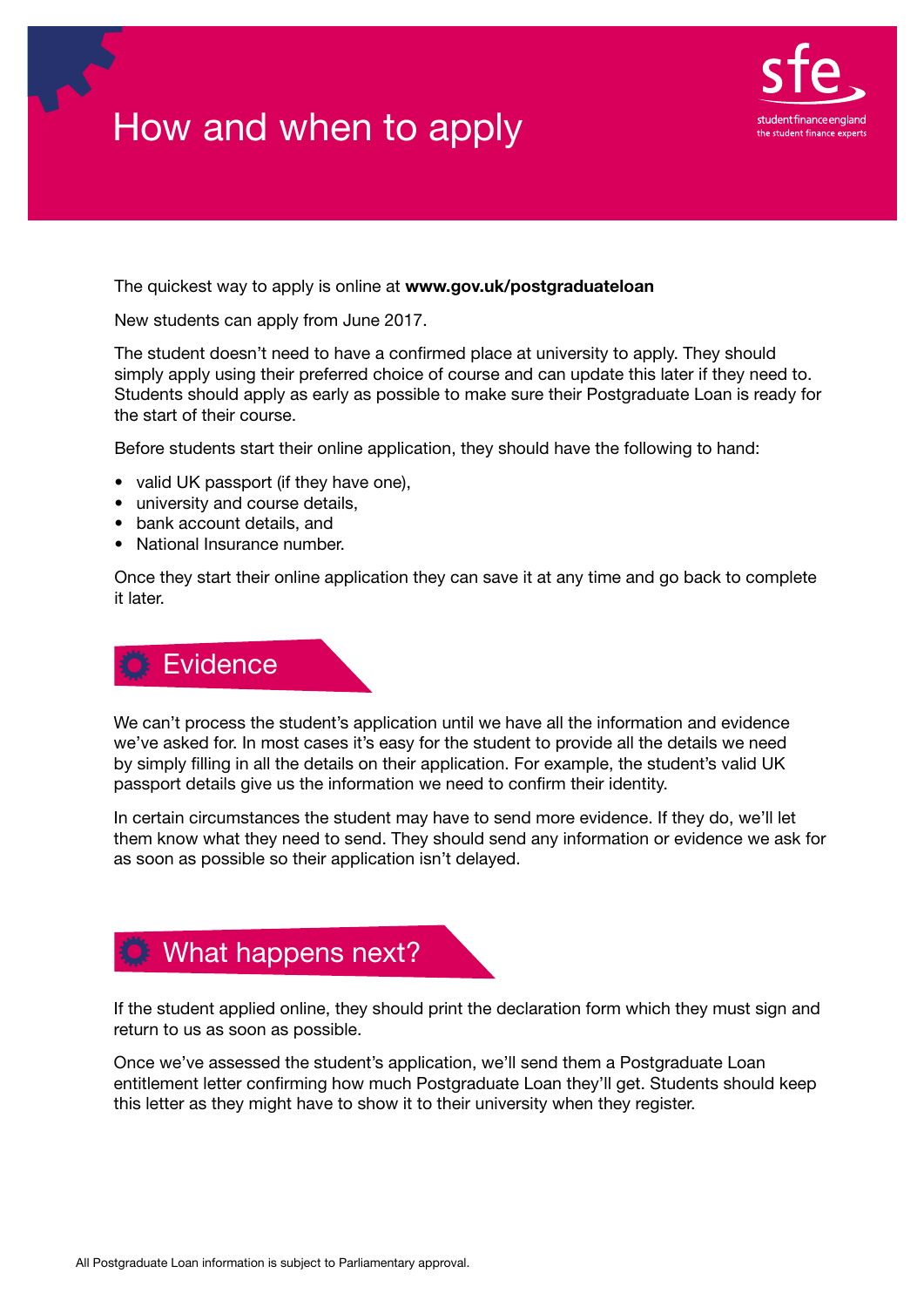## How and when to apply



The quickest way to apply is online at <www.gov.uk/postgraduateloan>

New students can apply from June 2017.

The student doesn't need to have a confirmed place at university to apply. They should simply apply using their preferred choice of course and can update this later if they need to. Students should apply as early as possible to make sure their Postgraduate Loan is ready for the start of their course.

Before students start their online application, they should have the following to hand:

- valid UK passport (if they have one),
- university and course details,
- bank account details, and
- National Insurance number.

Once they start their online application they can save it at any time and go back to complete it later.

#### **Evidence**

We can't process the student's application until we have all the information and evidence we've asked for. In most cases it's easy for the student to provide all the details we need by simply filling in all the details on their application. For example, the student's valid UK passport details give us the information we need to confirm their identity.

In certain circumstances the student may have to send more evidence. If they do, we'll let them know what they need to send. They should send any information or evidence we ask for as soon as possible so their application isn't delayed.



If the student applied online, they should print the declaration form which they must sign and return to us as soon as possible.

Once we've assessed the student's application, we'll send them a Postgraduate Loan entitlement letter confirming how much Postgraduate Loan they'll get. Students should keep this letter as they might have to show it to their university when they register.